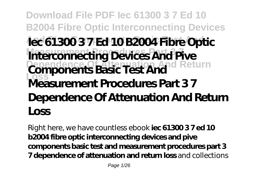# **Download File PDF Iec 61300 3 7 Ed 10 B2004 Fibre Optic Interconnecting Devices And Pive Components Basic Test And Iec 61300 3 7 Ed 10 B2004 Fibre Optic Interconnecting Devices And Pive Components Basic Test And Return Loss Measurement Procedures Part 3 7 Dependence Of Attenuation And Return Loss**

Right here, we have countless ebook **iec 61300 3 7 ed 10 b2004 fibre optic interconnecting devices and pive components basic test and measurement procedures part 3 7 dependence of attenuation and return loss** and collections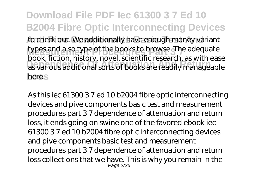**Download File PDF Iec 61300 3 7 Ed 10 B2004 Fibre Optic Interconnecting Devices** to check out. We additionally have enough money variant types and also type of the books to browse. The adequate **Depths** as various additional sorts of books are readily manageable here.s book, fiction, history, novel, scientific research, as with ease

As this iec 61300 3 7 ed 10 b2004 fibre optic interconnecting devices and pive components basic test and measurement procedures part 3 7 dependence of attenuation and return loss, it ends going on swine one of the favored ebook iec 61300 3 7 ed 10 b2004 fibre optic interconnecting devices and pive components basic test and measurement procedures part 3 7 dependence of attenuation and return loss collections that we have. This is why you remain in the Page 2/26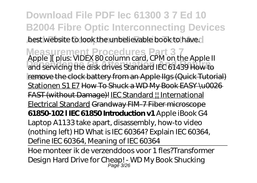**Download File PDF Iec 61300 3 7 Ed 10 B2004 Fibre Optic Interconnecting Devices** best website to look the unbelievable book to have.

**Measurement Procedures Part 3 7** *Apple ][ plus: VIDEX 80 column card, CPM on the Apple II* **Dependence Of Attenuation And Return** *and servicing the disk drives* Standard IEC 61439 How to **Loss** remove the clock battery from an Apple IIgs (Quick Tutorial) Stationen S1 E7 How To Shuck a WD My Book EASY \u0026 FAST (without Damage)! IEC Standard ! International Electrical Standard Grandway FIM-7 Fiber microscope **61850-102 l IEC 61850 Introduction v1** *Apple iBook G4 Laptop A1133 take apart, disassembly, how-to video (nothing left) HD What is IEC 60364? Explain IEC 60364, Define IEC 60364, Meaning of IEC 60364*

Hoe monteer ik de verzenddoos voor 1 fles?*Transformer Design Hard Drive for Cheap! - WD My Book Shucking* Page 3/26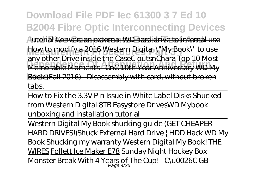# **Download File PDF Iec 61300 3 7 Ed 10 B2004 Fibre Optic Interconnecting Devices**

**And Pive Components Basic Test And** *Tutorial* Convert an external WD hard drive to internal use How to modify a 2016 Western Digital \"My Book\" to use **Dependence Of Attenuation And Return** Memorable Moments - CnC 10th Year Anniversary WD My **Loss** Book (Fall 2016) - Disassembly with card, without broken any other Drive inside the CaseCloutsnChara Top 10 Most tabs.

How to Fix the 3.3V Pin Issue in White Label Disks Shucked from Western Digital 8TB Easystore DrivesWD Mybook unboxing and installation tutorial

Western Digital My Book shucking guide (GET CHEAPER HARD DRIVES!) Shuck External Hard Drive | HDD Hack WD My Book Shucking my warranty Western Digital My Book! THE WIRES Follett Ice Maker E78 Sunday Night Hockey Box Monster Break With 4 Years of The Cup! - C\u0026C GB<br>Page 4/26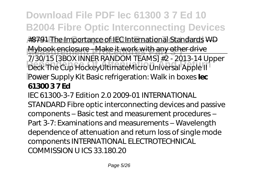**Download File PDF Iec 61300 3 7 Ed 10 B2004 Fibre Optic Interconnecting Devices** #8791 The Importance of IEC International Standards WD **Mybook enclosure - Make it work with any other drive Deck The Cup Hockey UltimateMicro Universal Apple II Loss** *Power Supply Kit Basic refrigeration: Walk in boxes* **Iec** 7/30/15 [3BOX INNER RANDOM TEAMS] #2 - 2013-14 Upper **61300 3 7 Ed**

IEC 61300-3-7 Edition 2.0 2009-01 INTERNATIONAL STANDARD Fibre optic interconnecting devices and passive components – Basic test and measurement procedures – Part 3-7: Examinations and measurements – Wavelength dependence of attenuation and return loss of single mode components INTERNATIONAL ELECTROTECHNICAL COMMISSION U ICS 33.180.20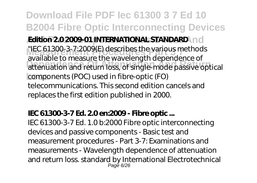**Download File PDF Iec 61300 3 7 Ed 10 B2004 Fibre Optic Interconnecting Devices And Pium 2.0 2009-01 INTERNATIONAL STANDARD WEC 61300-3-7:2009(E) describes the various methods Dependence Of Attenuation And Return** attenuation and return loss, of single-mode passive optical **Loss** components (POC) used in fibre-optic (FO) available to measure the wavelength dependence of telecommunications. This second edition cancels and replaces the first edition published in 2000.

### **IEC 61300-3-7 Ed. 2.0 en:2009 - Fibre optic ...**

IEC 61300-3-7 Ed. 1.0 b:2000 Fibre optic interconnecting devices and passive components - Basic test and measurement procedures - Part 3-7: Examinations and measurements - Wavelength dependence of attenuation and return loss. standard by International Electrotechnical Page 6/26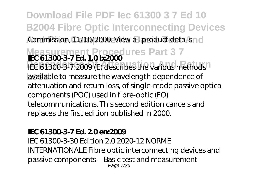## **Download File PDF Iec 61300 3 7 Ed 10 B2004 Fibre Optic Interconnecting Devices** Commission, 11/10/2000. View all product details id

## **Measurement Procedures Part 3 7 IEC 61300-3-7 Ed. 1.0 b:2000** IEC 61300-3-7:2009 (E) describes the various methods<sup>1</sup>

available to measure the wavelength dependence of attenuation and return loss, of single-mode passive optical components (POC) used in fibre-optic (FO) telecommunications. This second edition cancels and replaces the first edition published in 2000.

### **IEC 61300-3-7 Ed. 2.0 en:2009**

IEC 61300-3-30 Edition 2.0 2020-12 NORME INTERNATIONALE Fibre optic interconnecting devices and passive components – Basic test and measurement Page 7/26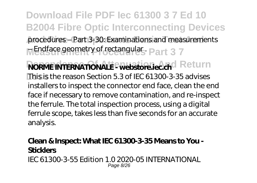**Download File PDF Iec 61300 3 7 Ed 10 B2004 Fibre Optic Interconnecting Devices** procedures – Part 3-30: Examinations and measurements Mendface geometry of rectangular . Part 3 7

**NORME INTERNATIONALE - webstore.iec.ch**d Return **Loss** This is the reason Section 5.3 of IEC 61300-3-35 advises installers to inspect the connector end face, clean the end face if necessary to remove contamination, and re-inspect the ferrule. The total inspection process, using a digital ferrule scope, takes less than five seconds for an accurate analysis.

#### **Clean & Inspect: What IEC 61300-3-35 Means to You - Sticklers** IEC 61300-3-55 Edition 1.0 2020-05 INTERNATIONAL Page 8/26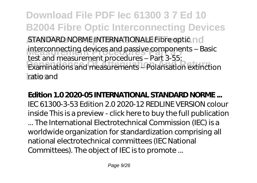**Download File PDF Iec 61300 3 7 Ed 10 B2004 Fibre Optic Interconnecting Devices** STANDARD NORME INTERNATIONALE Fibre optic no interconnecting devices and passive components – Basic<br>test and massivement procedures. Best 3 FF. **Dependence Of Attenuation And Return** Examinations and measurements – Polarisation extinction **Loss** ratio and test and measurement procedures – Part 3-55:

**Edition 1.0 2020-05 INTERNATIONAL STANDARD NORME ...** IEC 61300-3-53 Edition 2.0 2020-12 REDLINE VERSION colour inside This is a preview - click here to buy the full publication ... The International Electrotechnical Commission (IEC) is a worldwide organization for standardization comprising all national electrotechnical committees (IEC National Committees). The object of IEC is to promote ...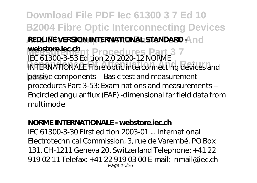**Download File PDF Iec 61300 3 7 Ed 10 B2004 Fibre Optic Interconnecting Devices REDLINE VERSION INTERNATIONAL STANDARD And Mebstore.lec.cn**<br>IEC 61300-3-53 Edition 2.0 2020-12 NORME **DEPENDENCE OF A LIBRARY CONNECTION ATTENUATION ALL FIBRE OPTIC Interconnecting devices and Loss** passive components – Basic test and measurement **webstore.iec.ch** procedures Part 3-53: Examinations and measurements – Encircled angular flux (EAF) -dimensional far field data from multimode

### **NORME INTERNATIONALE - webstore.iec.ch**

IEC 61300-3-30 First edition 2003-01 ... International Electrotechnical Commission, 3, rue de Varembé, PO Box 131, CH-1211 Geneva 20, Switzerland Telephone: +41 22 919 02 11 Telefax: +41 22 919 03 00 E-mail: inmail@iec.ch Page 10/26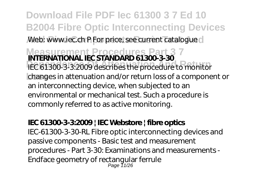**Download File PDF Iec 61300 3 7 Ed 10 B2004 Fibre Optic Interconnecting Devices** Web: www.iec.ch P For price, see current catalogue c

**Measurement Procedures Part 3 7 INTERNATIONAL IEC STANDARD 61300-3-30 Dependence Of Attenuation And Return** IEC 61300-3-3:2009 describes the procedure to monitor **Loss** changes in attenuation and/or return loss of a component or an interconnecting device, when subjected to an environmental or mechanical test. Such a procedure is commonly referred to as active monitoring.

### **IEC 61300-3-3:2009 | IEC Webstore | fibre optics**

IEC-61300-3-30-RL Fibre optic interconnecting devices and passive components - Basic test and measurement procedures - Part 3-30: Examinations and measurements - Endface geometry of rectangular ferrule Page 11/26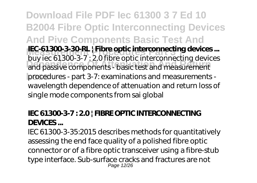**Download File PDF Iec 61300 3 7 Ed 10 B2004 Fibre Optic Interconnecting Devices And Pive Components Basic Test And IEC-61300-3-30-RL | Fibre optic interconnecting devices ...**<br>http://gov.2.300-2-3.20.5hrs.optic interconnecting devices **Dependence Of Attenuation And Passive components - basic test and measurement Loss** procedures - part 3-7: examinations and measurements buy iec 61300-3-7 : 2.0 fibre optic interconnecting devices wavelength dependence of attenuation and return loss of single mode components from sai global

### **IEC 61300-3-7 : 2.0 | FIBRE OPTIC INTERCONNECTING DEVICES ...**

IEC 61300-3-35:2015 describes methods for quantitatively assessing the end face quality of a polished fibre optic connector or of a fibre optic transceiver using a fibre-stub type interface. Sub-surface cracks and fractures are not Page 12/26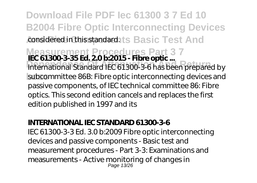**Download File PDF Iec 61300 3 7 Ed 10 B2004 Fibre Optic Interconnecting Devices** considered in this standard. ts Basic Test And

**Measurement Procedures Part 3 7 IEC 61300-3-35 Ed. 2.0 b:2015 - Fibre optic ...**

**Dependence Of Attenuation And Return** International Standard IEC 61300-3-6 has been prepared by subcommittee 86B: Fibre optic interconnecting devices and passive components, of IEC technical committee 86: Fibre optics. This second edition cancels and replaces the first edition published in 1997 and its

### **INTERNATIONAL IEC STANDARD 61300-3-6**

IEC 61300-3-3 Ed. 3.0 b:2009 Fibre optic interconnecting devices and passive components - Basic test and measurement procedures - Part 3-3: Examinations and measurements - Active monitoring of changes in Page 13/26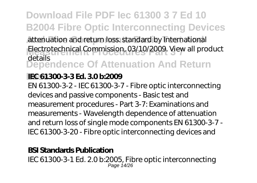# **Download File PDF Iec 61300 3 7 Ed 10 B2004 Fibre Optic Interconnecting Devices**

attenuation and return loss. standard by International Electrotechnical Commission, 03/10/2009. View all product **Dependence Of Attenuation And Return** details

### **Loss IEC 61300-3-3 Ed. 3.0 b:2009**

EN 61300-3-2 - IEC 61300-3-7 - Fibre optic interconnecting devices and passive components - Basic test and measurement procedures - Part 3-7: Examinations and measurements - Wavelength dependence of attenuation and return loss of single mode components EN 61300-3-7 - IEC 61300-3-20 - Fibre optic interconnecting devices and

### **BSI Standards Publication**

IEC 61300-3-1 Ed. 2.0 b:2005, Fibre optic interconnecting Page 14/26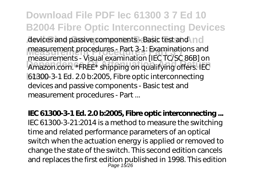**Download File PDF Iec 61300 3 7 Ed 10 B2004 Fibre Optic Interconnecting Devices** devices and passive components - Basic test and no measurement procedures - Part 3-1: Examinations and<br>measurements - Vigual avanination LLC TC CC 0(PL and **Dependence Of Attenuation And Return** Amazon.com. \*FREE\* shipping on qualifying offers. IEC **Loss** 61300-3-1 Ed. 2.0 b:2005, Fibre optic interconnecting measurements - Visual examination [IEC TC/SC 86B] on devices and passive components - Basic test and measurement procedures - Part ...

**IEC 61300-3-1 Ed. 2.0 b:2005, Fibre optic interconnecting ...** IEC 61300-3-21:2014 is a method to measure the switching time and related performance parameters of an optical switch when the actuation energy is applied or removed to change the state of the switch. This second edition cancels and replaces the first edition published in 1998. This edition Page 15/26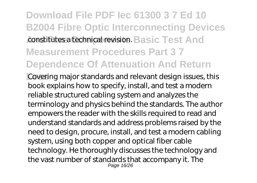# **Download File PDF Iec 61300 3 7 Ed 10 B2004 Fibre Optic Interconnecting Devices** constitutes a technical revision. Basic Test And **Measurement Procedures Part 3 7 Dependence Of Attenuation And Return**

**Loss** Covering major standards and relevant design issues, this book explains how to specify, install, and test a modern reliable structured cabling system and analyzes the terminology and physics behind the standards. The author empowers the reader with the skills required to read and understand standards and address problems raised by the need to design, procure, install, and test a modern cabling system, using both copper and optical fiber cable technology. He thoroughly discusses the technology and the vast number of standards that accompany it. The Page 16/26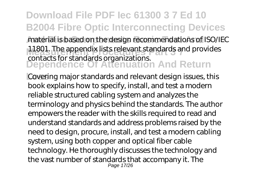### **Download File PDF Iec 61300 3 7 Ed 10 B2004 Fibre Optic Interconnecting Devices** material is based on the design recommendations of ISO/IEC 11801. The appendix lists relevant standards and provides **Dependence Of Attenuation And Return** contacts for standards organizations.

**Loss** Covering major standards and relevant design issues, this book explains how to specify, install, and test a modern reliable structured cabling system and analyzes the terminology and physics behind the standards. The author empowers the reader with the skills required to read and understand standards and address problems raised by the need to design, procure, install, and test a modern cabling system, using both copper and optical fiber cable technology. He thoroughly discusses the technology and the vast number of standards that accompany it. The Page 17/26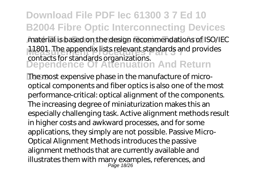### **Download File PDF Iec 61300 3 7 Ed 10 B2004 Fibre Optic Interconnecting Devices** material is based on the design recommendations of ISO/IEC 11801. The appendix lists relevant standards and provides **Dependence Of Attenuation And Return** contacts for standards organizations.

**Loss** The most expensive phase in the manufacture of microoptical components and fiber optics is also one of the most performance-critical: optical alignment of the components. The increasing degree of miniaturization makes this an especially challenging task. Active alignment methods result in higher costs and awkward processes, and for some applications, they simply are not possible. Passive Micro-Optical Alignment Methods introduces the passive alignment methods that are currently available and illustrates them with many examples, references, and Page 18/26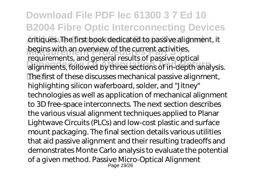### **Download File PDF Iec 61300 3 7 Ed 10 B2004 Fibre Optic Interconnecting Devices** critiques. The first book dedicated to passive alignment, it begins with an overview of the current activities,<br>requirements and aspect require of negative anti-**Departments, followed by three sections of in-depth analysis. The first of these discusses mechanical passive alignment,** requirements, and general results of passive optical highlighting silicon waferboard, solder, and "Jitney" technologies as well as application of mechanical alignment to 3D free-space interconnects. The next section describes the various visual alignment techniques applied to Planar Lightwave Circuits (PLCs) and low-cost plastic and surface mount packaging. The final section details various utilities that aid passive alignment and their resulting tradeoffs and demonstrates Monte Carlo analysis to evaluate the potential of a given method. Passive Micro-Optical Alignment Page 19/26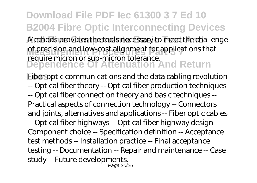# **Download File PDF Iec 61300 3 7 Ed 10 B2004 Fibre Optic Interconnecting Devices**

Methods provides the tools necessary to meet the challenge of precision and low-cost alignment for applications that **Dependence Of Attenuation And Return** require micron or sub-micron tolerance.

**Eiber optic communications and the data cabling revolution** -- Optical fiber theory -- Optical fiber production techniques -- Optical fiber connection theory and basic techniques -- Practical aspects of connection technology -- Connectors and joints, alternatives and applications -- Fiber optic cables -- Optical fiber highways -- Optical fiber highway design -- Component choice -- Specification definition -- Acceptance test methods -- Installation practice -- Final acceptance testing -- Documentation -- Repair and maintenance -- Case study -- Future developments. Page 20/26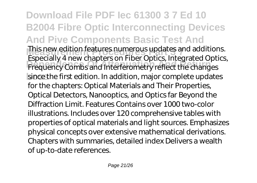**Download File PDF Iec 61300 3 7 Ed 10 B2004 Fibre Optic Interconnecting Devices And Pive Components Basic Test And This new edition features numerous updates and additions.**<br>Feasebolly 4 new ebentaries on Fiber Ontion Integrated Ontion **Dependence Of Attenuation And Return** Frequency Combs and Interferometry reflect the changes since the first edition. In addition, major complete updates Especially 4 new chapters on Fiber Optics, Integrated Optics, for the chapters: Optical Materials and Their Properties, Optical Detectors, Nanooptics, and Optics far Beyond the Diffraction Limit. Features Contains over 1000 two-color illustrations. Includes over 120 comprehensive tables with properties of optical materials and light sources. Emphasizes physical concepts over extensive mathematical derivations. Chapters with summaries, detailed index Delivers a wealth of up-to-date references.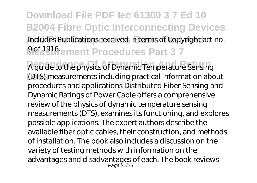# **Download File PDF Iec 61300 3 7 Ed 10 B2004 Fibre Optic Interconnecting Devices** Includes Publications received in terms of Copyright act no. **Measurement Procedures Part 37**

A guide to the physics of Dynamic Temperature Sensing **Loss** (DTS) measurements including practical information about procedures and applications Distributed Fiber Sensing and Dynamic Ratings of Power Cable offers a comprehensive review of the physics of dynamic temperature sensing measurements (DTS), examines its functioning, and explores possible applications. The expert authors describe the available fiber optic cables, their construction, and methods of installation. The book also includes a discussion on the variety of testing methods with information on the advantages and disadvantages of each. The book reviews Page 22/26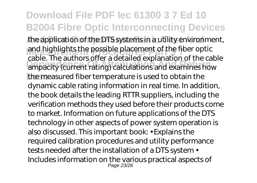### **Download File PDF Iec 61300 3 7 Ed 10 B2004 Fibre Optic Interconnecting Devices** the application of the DTS systems in a utility environment, and highlights the possible placement of the fiber optic<br>coble The quitters office a detailed syntenation of the co **Dependence Of Attenuation And Return** ampacity (current rating) calculations and examines how Ine measured fiber temperature is used to obtain the cable. The authors offer a detailed explanation of the cable dynamic cable rating information in real time. In addition, the book details the leading RTTR suppliers, including the verification methods they used before their products come to market. Information on future applications of the DTS technology in other aspects of power system operation is also discussed. This important book: • Explains the required calibration procedures and utility performance tests needed after the installation of a DTS system • Includes information on the various practical aspects of Page 23/26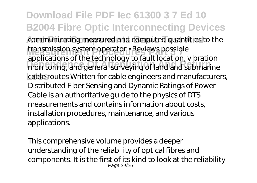**Download File PDF Iec 61300 3 7 Ed 10 B2004 Fibre Optic Interconnecting Devices** communicating measured and computed quantities to the **Transmission system operator • Reviews possible Dependence Of Attenuation And Return** monitoring, and general surveying of land and submarine **Loss** cable routes Written for cable engineers and manufacturers, applications of the technology to fault location, vibration Distributed Fiber Sensing and Dynamic Ratings of Power Cable is an authoritative guide to the physics of DTS measurements and contains information about costs, installation procedures, maintenance, and various applications.

This comprehensive volume provides a deeper understanding of the reliability of optical fibres and components. It is the first of its kind to look at the reliability Page 24/26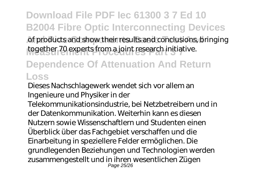# **Download File PDF Iec 61300 3 7 Ed 10 B2004 Fibre Optic Interconnecting Devices**

of products and show their results and conclusions, bringing together 70 experts from a joint research initiative.

## **Dependence Of Attenuation And Return Loss**

Dieses Nachschlagewerk wendet sich vor allem an Ingenieure und Physiker in der

Telekommunikationsindustrie, bei Netzbetreibern und in der Datenkommunikation. Weiterhin kann es diesen Nutzern sowie Wissenschaftlern und Studenten einen Überblick über das Fachgebiet verschaffen und die Einarbeitung in speziellere Felder ermöglichen. Die grundlegenden Beziehungen und Technologien werden zusammengestellt und in ihren wesentlichen Zügen Page 25/26